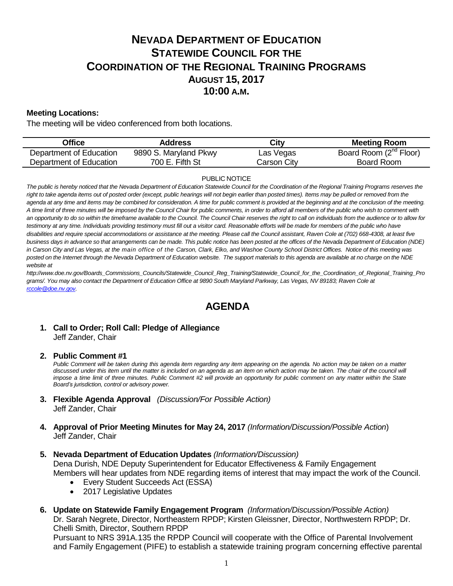# **NEVADA DEPARTMENT OF EDUCATION STATEWIDE COUNCIL FOR THE COORDINATION OF THE REGIONAL TRAINING PROGRAMS AUGUST 15, 2017 10:00 A.M.**

### **Meeting Locations:**

The meeting will be video conferenced from both locations.

| Office                  | Address               | City        | <b>Meeting Room</b>                |
|-------------------------|-----------------------|-------------|------------------------------------|
| Department of Education | 9890 S. Maryland Pkwy | Las Vegas   | Board Room (2 <sup>nd</sup> Floor) |
| Department of Education | 700 E. Fifth St       | Carson City | Board Room                         |

#### PUBLIC NOTICE

*The public is hereby noticed that the Nevada Department of Education Statewide Council for the Coordination of the Regional Training Programs reserves the*  right to take agenda items out of posted order (except, public hearings will not begin earlier than posted times). Items may be pulled or removed from the *agenda at any time and items may be combined for consideration. A time for public comment is provided at the beginning and at the conclusion of the meeting. A time limit of three minutes will be imposed by the Council Chair for public comments, in order to afford all members of the public who wish to comment with an opportunity to do so within the timeframe available to the Council. The Council Chair reserves the right to call on individuals from the audience or to allow for*  testimony at any time. Individuals providing testimony must fill out a visitor card. Reasonable efforts will be made for members of the public who have *disabilities and require special accommodations or assistance at the meeting. Please call the Council assistant, Raven Cole at (702) 668-4308, at least five business days in advance so that arrangements can be made. This public notice has been posted at the offices of the Nevada Department of Education (NDE) in Carson City and Las Vegas, at the main office of the Carson, Clark, Elko, and Washoe County School District Offices. Notice of this meeting was posted on the Internet through th[e Nevada Department of Education w](http://www.doe.nv.gov/)ebsite. The support materials to this agenda are available at no charge on the NDE website at* 

*http://www.doe.nv.gov/Boards\_Commissions\_Councils/Statewide\_Council\_Reg\_Training/Statewide\_Council\_for\_the\_Coordination\_of\_Regional\_Training\_Pro grams/. You may also contact the Department of Education Office at 9890 South Maryland Parkway, Las Vegas, NV 89183; Raven Cole at [rccole@doe.nv.gov.](mailto:rccole@doe.nv.gov)* 

## **AGENDA**

### **1. Call to Order; Roll Call: Pledge of Allegiance**  Jeff Zander, Chair

**2. Public Comment #1**

*Public Comment will be taken during this agenda item regarding any item appearing on the agenda. No action may be taken on a matter discussed under this item until the matter is included on an agenda as an item on which action may be taken. The chair of the council will impose a time limit of three minutes. Public Comment #2 will provide an opportunity for public comment on any matter within the State Board's jurisdiction, control or advisory power.*

- **3. Flexible Agenda Approval** *(Discussion/For Possible Action)* Jeff Zander, Chair
- **4. Approval of Prior Meeting Minutes for May 24, 2017** *(Information/Discussion/Possible Action*) Jeff Zander, Chair
- **5. Nevada Department of Education Updates** *(Information/Discussion)*

Dena Durish, NDE Deputy Superintendent for Educator Effectiveness & Family Engagement Members will hear updates from NDE regarding items of interest that may impact the work of the Council.

- Every Student Succeeds Act (ESSA)
- 2017 Legislative Updates
- **6. Update on Statewide Family Engagement Program** *(Information/Discussion/Possible Action)*

Dr. Sarah Negrete, Director, Northeastern RPDP; Kirsten Gleissner, Director, Northwestern RPDP; Dr. Chelli Smith, Director, Southern RPDP

Pursuant to NRS 391A.135 the RPDP Council will cooperate with the Office of Parental Involvement and Family Engagement (PIFE) to establish a statewide training program concerning effective parental